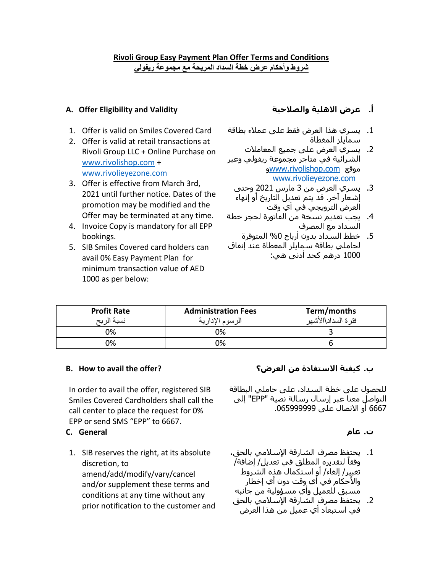### **Rivoli Group Easy Payment Plan Offer Terms and Conditions شروط وأحكام عرض خطة السداد المريحة مع مجموعة ريفولي**

## **A. Offer Eligibility and Validity والصالحية االهلية عرض .أ**

- 1. Offer is valid on Smiles Covered Card
- 2. Offer is valid at retail transactions at Rivoli Group LLC + Online Purchase on [www.rivolishop.com](http://www.rivolishop.com/) + [www.rivolieyezone.com](http://www.rivolieyezone.com/)
- 3. Offer is effective from March 3rd, 2021 until further notice. Dates of the promotion may be modified and the Offer may be terminated at any time.
- 4. Invoice Copy is mandatory for all EPP bookings.
- 5. SIB Smiles Covered card holders can avail 0% Easy Payment Plan for minimum transaction value of AED 1000 as per below:

- .1 يسري هذا العرض فقط على عمالء بطاقة سمايلز المغطاة
- .2 يسري العرض على جميع المعامالت الشرائية في متاجر مجموعة ريفولي وعبر و[www.rivolishop.com](http://www.rivolishop.com/) موقع [www.rivolieyezone.com](http://www.rivolieyezone.com/)
- .3 يسري العرض من 3 مارس 2021 وحتى آخر. ٍ إشعار قد يتم تعديل التاريخ أو إنهاء العرض الترويجي في أي وقت
- .4 يجب تقديم نسخة من الفاتورة لحجز خطة السداد مع المصرف
- .5 خطط السداد بدون أرباح %0 المتوفرة لحاملي بطاقة سمايلز المغطاة عند إنفاق 1000 درهم كحد أدنى هي:

| <b>Profit Rate</b><br>نسبة الربح | <b>Administration Fees</b><br>الرسوم الإدارية | Term/months<br>فترة السداد\الأشهر |
|----------------------------------|-----------------------------------------------|-----------------------------------|
| 0%                               | 0%                                            |                                   |
| ገ%                               | 0%                                            |                                   |

In order to avail the offer, registered SIB Smiles Covered Cardholders shall call the call center to place the request for 0% EPP or send SMS "EPP" to 6667.

### **ت. عام General .C**

1. SIB reserves the right, at its absolute discretion, to amend/add/modify/vary/cancel and/or supplement these terms and conditions at any time without any prior notification to the customer and

# **B. How to avail the offer? العرض؟ من االستفادة كيفية .ب**

للحصول على خطة السداد، على حاملي البطاقة التواصل معنا عبر إرسال رسالة نصية "EPP "إلى 6667 أو االتصال على .065999999

- .1 يحتفظ مصرف الشارقة اإلسالمي بالحق، لتقديره المطلق في تعديل/ إضافة/ وفقاً تغيير/ إلغاء/ أو استكمال هذه الشروط والأحكام في أي وقت دون أي إخطار مسبق للعميل وأي مسؤولية من جانبه
- .2 يحتفظ مصرف الشارقة اإلسالمي بالحق في استبعاد أي عميل من هذا العرض